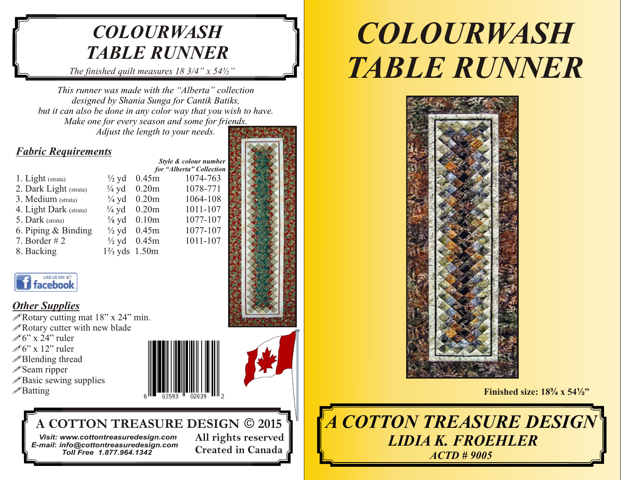# *COLOURWASH TABLE RUNNER*

*The finished quilt measures 18 3/4" x 54½"*

*This runner was made with the "Alberta" collection designed by Shania Sunga for Cantik Batiks, but it can also be done in any color way that you wish to have. Make one for every season and some for friends. Adjust the length to your needs.*

# *Fabric Requirements*

1. Light (strata)  $\frac{1}{2}$  yd 0.45m 1074-763 2. Dark Light (strata)  $\frac{1}{4}$  vd 0.20m 1078-771 3. Medium (strata)  $\frac{1}{4}$  vd 0.20m 1064-108 4. Light Dark (strata)  $\frac{1}{4}$  yd 0.20m 1011-107<br>5. Dark (strata)  $\frac{1}{8}$  yd 0.10m 1077-107 5. Dark (strata)  $\frac{1}{8}$  yd 0.10m 1077-107 6. Piping & Binding  $\frac{1}{2}$  yd 0.45m 1077-107<br>7. Border # 2  $\frac{1}{2}$  yd 0.45m 1011-107 7. Border # 2  $\frac{1}{2}$  yd 0.45m 1011-107 8. Backing 1<sup>2</sup>/<sub>3</sub> yds 1.50m

 *for "Alberta" Collection*  $\frac{1}{4}$  yd 0.20m  $\frac{1}{4}$  yd 0.20m  $\frac{1}{4}$  yd 0.20m  $\frac{1}{2}$  yd 0.45m



**Created in Canada**

# LIKE US ON ED **i** facebook

# *Other Supplies*

**A** Rotary cutting mat 18" x 24" min. **PRotary cutter with new blade** the contract of the contract of the contract of the contract of the contract of the contract of the contract of the contract of the contract of the contract of the contract of the contract o  $\mathscr{O}6$ " x 24" ruler  $\mathscr{L}$  6" x 12" ruler  $\blacksquare$   $\blacksquare$   $\blacksquare$   $\blacksquare$   $\blacksquare$   $\blacksquare$   $\blacksquare$   $\blacksquare$   $\blacksquare$   $\blacksquare$   $\blacksquare$   $\blacksquare$   $\blacksquare$   $\blacksquare$   $\blacksquare$   $\blacksquare$   $\blacksquare$   $\blacksquare$   $\blacksquare$   $\blacksquare$   $\blacksquare$   $\blacksquare$   $\blacksquare$   $\blacksquare$   $\blacksquare$   $\blacksquare$   $\blacksquare$   $\blacksquare$   $\mathscr{O}6$ " x 24" ruler **Blending thread Example 19 and 19 and 19 and 19 and 19 and 19 and 19 and 19 and 19 and 19 and 19 and 19 and 19 and 19 and 19 and 19 and 19 and 19 and 19 and 19 and 19 and 19 and 19 and 19 and 19 and 19 and 19 and 19 and**  $\mathscr{O}6$ " x 12" ruler Seam ripper **Seam in the Contract of the Contract of the Contract of the Contract of the Contract of the Contract of the Contract of the Contract of the Contract of the Contract of the Contract of the Contract of the Contr** *P* Basic sewing supplies **EXECUTE:** THE REFERENCE REPORTS THE REFERENCE REPORTS OF THE REFERENCE REPORTS OF THE REFERENCE REPORTS OF THE REFERENCE REPORTS OF THE REFERENCE REPORTS OF THE REFERENCE REPORTS OF THE REFEREN  $\mathscr{D}$ Seam ripper  $\mathscr{L}$ Batting **Example 2018 Finished size: 18<sup>3</sup>/4 x 54<sup>1</sup>/<sub>2</sub><sup>2</sup> / 18<sup>3</sup>/<sub>4</sub> x 54<sup>1</sup>/<sub>2</sub><sup>2</sup> / 18<sup>3</sup>/<sub>4</sub> x 54<sup>1</sup>/<sub>2</sub><sup>2</sup> / 18<sup>3</sup>/<sub>4</sub> x 54<sup>1</sup>/<sub>2</sub><sup>2</sup>** *<u>*</u>*<del></del>■Batting* 



# **A COTTON TREASURE DESIGN** © **2015**

 **All rights reserved** *Visit: www.cottontreasuredesign.com E-mail***:** *info@cottontreasuredesign.com Toll Free 1.877.964.1342*

*COLOURWASH TABLE RUNNER*



*A COTTON TREASURE DESIGN LIDIA K. FROEHLER ACTD # 9005*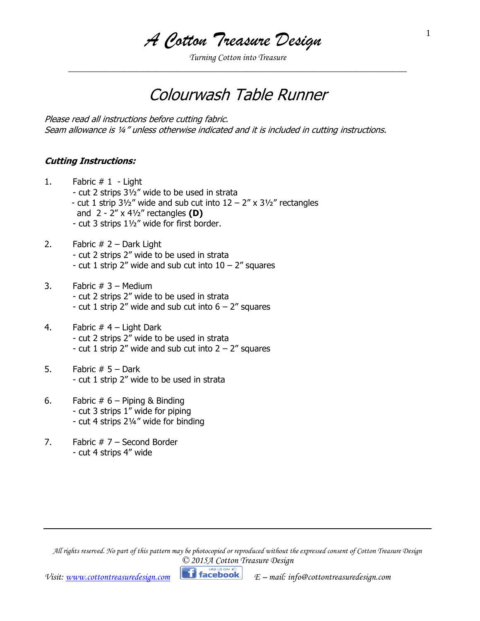*A Cotton Treasure Design*

*Turning Cotton into Treasure \_\_\_\_\_\_\_\_\_\_\_\_\_\_\_\_\_\_\_\_\_\_\_\_\_\_\_\_\_\_\_\_\_\_\_\_\_\_\_\_\_\_\_\_\_\_\_\_\_\_\_\_\_\_\_\_\_\_\_\_\_\_\_\_\_\_\_\_\_\_\_\_*

# Colourwash Table Runner

Please read all instructions before cutting fabric. Seam allowance is ¼" unless otherwise indicated and it is included in cutting instructions.

#### **Cutting Instructions:**

- 1. Fabric # 1 Light
	- cut 2 strips 3½" wide to be used in strata
	- cut 1 strip  $3\frac{1}{2}$ " wide and sub cut into  $12 2$ " x  $3\frac{1}{2}$ " rectangles and 2 - 2" x 4½" rectangles **(D)**
	- cut 3 strips 1½" wide for first border.
- 2. Fabric  $# 2 -$  Dark Light - cut 2 strips 2" wide to be used in strata - cut 1 strip 2" wide and sub cut into  $10 - 2$ " squares
- 3. Fabric  $# 3 \text{Median}$ - cut 2 strips 2" wide to be used in strata - cut 1 strip 2" wide and sub cut into  $6 - 2$ " squares
- 4. Fabric  $#$  4 Light Dark - cut 2 strips 2" wide to be used in strata - cut 1 strip 2" wide and sub cut into  $2 - 2$ " squares
- 5. Fabric  $# 5 Dark$ - cut 1 strip 2" wide to be used in strata
- 6. Fabric  $# 6 -$  Piping & Binding - cut 3 strips 1" wide for piping - cut 4 strips 2¼" wide for binding
- 7. Fabric  $# 7 -$  Second Border - cut 4 strips 4" wide

*All rights reserved. No part of this pattern may be photocopied or reproduced without the expressed consent of Cotton Treasure Design © 2015A Cotton Treasure Design*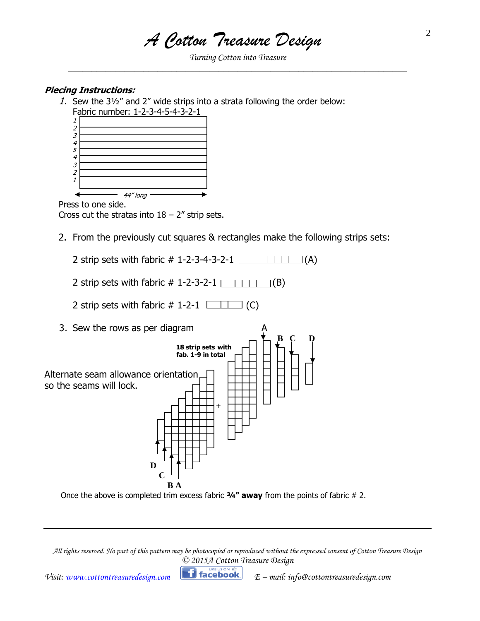*A Cotton Treasure Design*

*Turning Cotton into Treasure \_\_\_\_\_\_\_\_\_\_\_\_\_\_\_\_\_\_\_\_\_\_\_\_\_\_\_\_\_\_\_\_\_\_\_\_\_\_\_\_\_\_\_\_\_\_\_\_\_\_\_\_\_\_\_\_\_\_\_\_\_\_\_\_\_\_\_\_\_\_\_\_*

#### **Piecing Instructions:**

1. Sew the 3½" and 2" wide strips into a strata following the order below:



Press to one side. Cross cut the stratas into  $18 - 2$ " strip sets.

- 2. From the previously cut squares & rectangles make the following strips sets:
	- 2 strip sets with fabric  $\#$  1-2-3-4-3-2-1
	- 2 strip sets with fabric  $\#$  1-2-3-2-1  $\boxed{\phantom{1} \phantom{1} \phantom{1} \phantom{1} \phantom{1} }$  (B)
	- 2 strip sets with fabric  $\#$  1-2-1  $\boxed{\Box \Box \Box}$  (C)
- 3. Sew the rows as per diagram  $\Box$ **B** C **D 18 strip sets with fab. 1-9 in total** Alternate seam allowance orientation so the seams will lock. + **D C B A**
	- Once the above is completed trim excess fabric **¾" away** from the points of fabric # 2.

*All rights reserved. No part of this pattern may be photocopied or reproduced without the expressed consent of Cotton Treasure Design © 2015A Cotton Treasure Design*

*Visit:* [www.cottontreasuredesign.com](http://www.cottontreasuredesign.com/) **Ficebook**  $E$  – mail: info@cottontreasuredesign.com